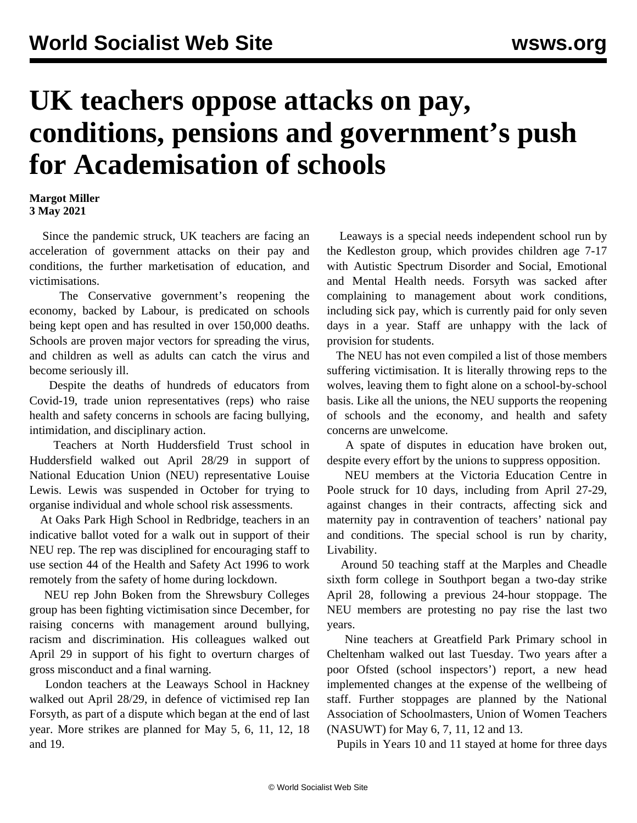## **UK teachers oppose attacks on pay, conditions, pensions and government's push for Academisation of schools**

## **Margot Miller 3 May 2021**

 Since the pandemic struck, UK teachers are facing an acceleration of government attacks on their pay and conditions, the further marketisation of education, and victimisations.

 The Conservative government's reopening the economy, backed by Labour, is predicated on schools being kept open and has resulted in over 150,000 deaths. Schools are proven major vectors for spreading the virus, and children as well as adults can catch the virus and become seriously ill.

 Despite the deaths of hundreds of educators from Covid-19, trade union representatives (reps) who raise health and safety concerns in schools are facing bullying, intimidation, and disciplinary action.

 Teachers at North Huddersfield Trust school in Huddersfield walked out April 28/29 in support of National Education Union (NEU) representative Louise Lewis. Lewis was suspended in October for trying to organise individual and whole school risk assessments.

 At Oaks Park High School in Redbridge, teachers in an indicative ballot voted for a walk out in support of their NEU rep. The rep was disciplined for encouraging staff to use section 44 of the Health and Safety Act 1996 to work remotely from the safety of home during lockdown.

 NEU rep John Boken from the Shrewsbury Colleges group has been fighting victimisation since December, for raising concerns with management around bullying, racism and discrimination. His colleagues walked out April 29 in support of his fight to overturn charges of gross misconduct and a final warning.

 London teachers at the Leaways School in Hackney walked out April 28/29, in defence of victimised rep Ian Forsyth, as part of a dispute which began at the end of last year. More strikes are planned for May 5, 6, 11, 12, 18 and 19.

 Leaways is a special needs independent school run by the Kedleston group, which provides children age 7-17 with Autistic Spectrum Disorder and Social, Emotional and Mental Health needs. Forsyth was sacked after complaining to management about work conditions, including sick pay, which is currently paid for only seven days in a year. Staff are unhappy with the lack of provision for students.

 The NEU has not even compiled a list of those members suffering victimisation. It is literally throwing reps to the wolves, leaving them to fight alone on a school-by-school basis. Like all the unions, the NEU supports the reopening of schools and the economy, and health and safety concerns are unwelcome.

 A spate of disputes in education have broken out, despite every effort by the unions to suppress opposition.

 NEU members at the Victoria Education Centre in Poole struck for 10 days, including from April 27-29, against changes in their contracts, affecting sick and maternity pay in contravention of teachers' national pay and conditions. The special school is run by charity, Livability.

 Around 50 teaching staff at the Marples and Cheadle sixth form college in Southport began a two-day strike April 28, following a previous 24-hour stoppage. The NEU members are protesting no pay rise the last two years.

 Nine teachers at Greatfield Park Primary school in Cheltenham walked out last Tuesday. Two years after a poor Ofsted (school inspectors') report, a new head implemented changes at the expense of the wellbeing of staff. Further stoppages are planned by the National Association of Schoolmasters, Union of Women Teachers (NASUWT) for May 6, 7, 11, 12 and 13.

Pupils in Years 10 and 11 stayed at home for three days